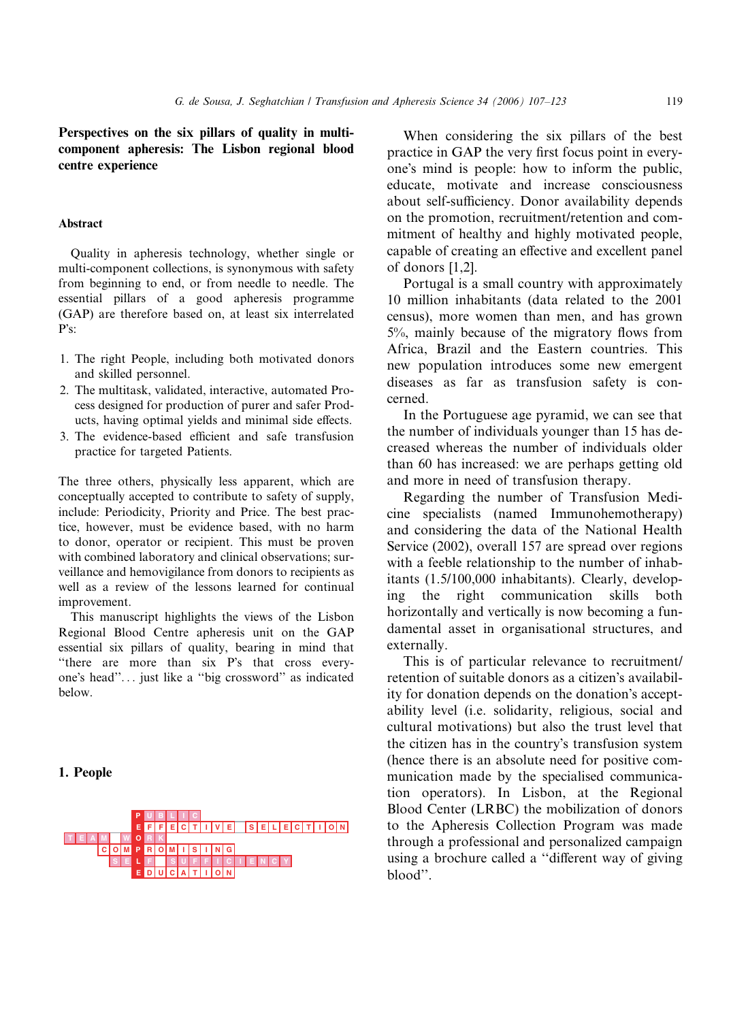Perspectives on the six pillars of quality in multicomponent apheresis: The Lisbon regional blood centre experience

#### Abstract

Quality in apheresis technology, whether single or multi-component collections, is synonymous with safety from beginning to end, or from needle to needle. The essential pillars of a good apheresis programme (GAP) are therefore based on, at least six interrelated P's:

- 1. The right People, including both motivated donors and skilled personnel.
- 2. The multitask, validated, interactive, automated Process designed for production of purer and safer Products, having optimal yields and minimal side effects.
- 3. The evidence-based efficient and safe transfusion practice for targeted Patients.

The three others, physically less apparent, which are conceptually accepted to contribute to safety of supply, include: Periodicity, Priority and Price. The best practice, however, must be evidence based, with no harm to donor, operator or recipient. This must be proven with combined laboratory and clinical observations; surveillance and hemovigilance from donors to recipients as well as a review of the lessons learned for continual improvement.

This manuscript highlights the views of the Lisbon Regional Blood Centre apheresis unit on the GAP essential six pillars of quality, bearing in mind that "there are more than six P's that cross everyone's head"... just like a "big crossword" as indicated below.

1. People



When considering the six pillars of the best practice in GAP the very first focus point in everyone's mind is people: how to inform the public, educate, motivate and increase consciousness about self-sufficiency. Donor availability depends on the promotion, recruitment/retention and commitment of healthy and highly motivated people, capable of creating an effective and excellent panel of donors [1,2].

Portugal is a small country with approximately 10 million inhabitants (data related to the 2001 census), more women than men, and has grown 5%, mainly because of the migratory flows from Africa, Brazil and the Eastern countries. This new population introduces some new emergent diseases as far as transfusion safety is concerned.

In the Portuguese age pyramid, we can see that the number of individuals younger than 15 has decreased whereas the number of individuals older than 60 has increased: we are perhaps getting old and more in need of transfusion therapy.

Regarding the number of Transfusion Medicine specialists (named Immunohemotherapy) and considering the data of the National Health Service (2002), overall 157 are spread over regions with a feeble relationship to the number of inhabitants (1.5/100,000 inhabitants). Clearly, developing the right communication skills both horizontally and vertically is now becoming a fundamental asset in organisational structures, and externally.

This is of particular relevance to recruitment/ retention of suitable donors as a citizen's availability for donation depends on the donation's acceptability level (i.e. solidarity, religious, social and cultural motivations) but also the trust level that the citizen has in the country's transfusion system (hence there is an absolute need for positive communication made by the specialised communication operators). In Lisbon, at the Regional Blood Center (LRBC) the mobilization of donors to the Apheresis Collection Program was made through a professional and personalized campaign using a brochure called a ''different way of giving blood''.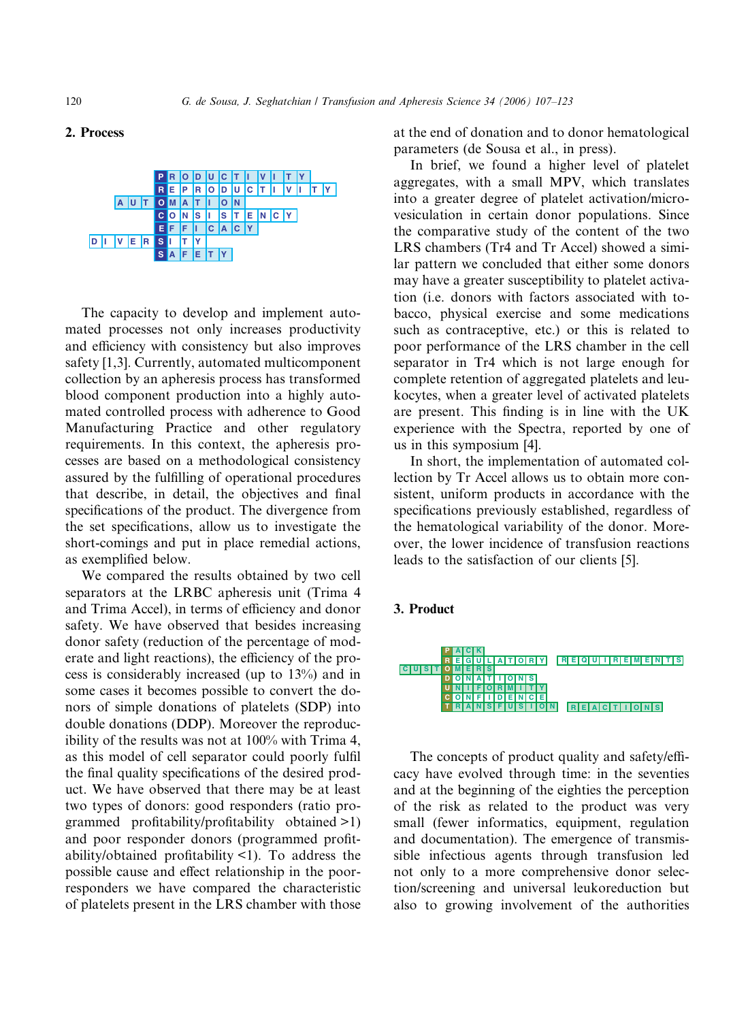## 2. Process



The capacity to develop and implement automated processes not only increases productivity and efficiency with consistency but also improves safety [1,3]. Currently, automated multicomponent collection by an apheresis process has transformed blood component production into a highly automated controlled process with adherence to Good Manufacturing Practice and other regulatory requirements. In this context, the apheresis processes are based on a methodological consistency assured by the fulfilling of operational procedures that describe, in detail, the objectives and final specifications of the product. The divergence from the set specifications, allow us to investigate the short-comings and put in place remedial actions, as exemplified below.

We compared the results obtained by two cell separators at the LRBC apheresis unit (Trima 4 and Trima Accel), in terms of efficiency and donor safety. We have observed that besides increasing donor safety (reduction of the percentage of moderate and light reactions), the efficiency of the process is considerably increased (up to 13%) and in some cases it becomes possible to convert the donors of simple donations of platelets (SDP) into double donations (DDP). Moreover the reproducibility of the results was not at 100% with Trima 4, as this model of cell separator could poorly fulfil the final quality specifications of the desired product. We have observed that there may be at least two types of donors: good responders (ratio programmed profitability/profitability obtained >1) and poor responder donors (programmed profitability/obtained profitability <1). To address the possible cause and effect relationship in the poorresponders we have compared the characteristic of platelets present in the LRS chamber with those at the end of donation and to donor hematological parameters (de Sousa et al., in press).

In brief, we found a higher level of platelet aggregates, with a small MPV, which translates into a greater degree of platelet activation/microvesiculation in certain donor populations. Since the comparative study of the content of the two LRS chambers (Tr4 and Tr Accel) showed a similar pattern we concluded that either some donors may have a greater susceptibility to platelet activation (i.e. donors with factors associated with tobacco, physical exercise and some medications such as contraceptive, etc.) or this is related to poor performance of the LRS chamber in the cell separator in Tr4 which is not large enough for complete retention of aggregated platelets and leukocytes, when a greater level of activated platelets are present. This finding is in line with the UK experience with the Spectra, reported by one of us in this symposium [4].

In short, the implementation of automated collection by Tr Accel allows us to obtain more consistent, uniform products in accordance with the specifications previously established, regardless of the hematological variability of the donor. Moreover, the lower incidence of transfusion reactions leads to the satisfaction of our clients [5].

## 3. Product



The concepts of product quality and safety/efficacy have evolved through time: in the seventies and at the beginning of the eighties the perception of the risk as related to the product was very small (fewer informatics, equipment, regulation and documentation). The emergence of transmissible infectious agents through transfusion led not only to a more comprehensive donor selection/screening and universal leukoreduction but also to growing involvement of the authorities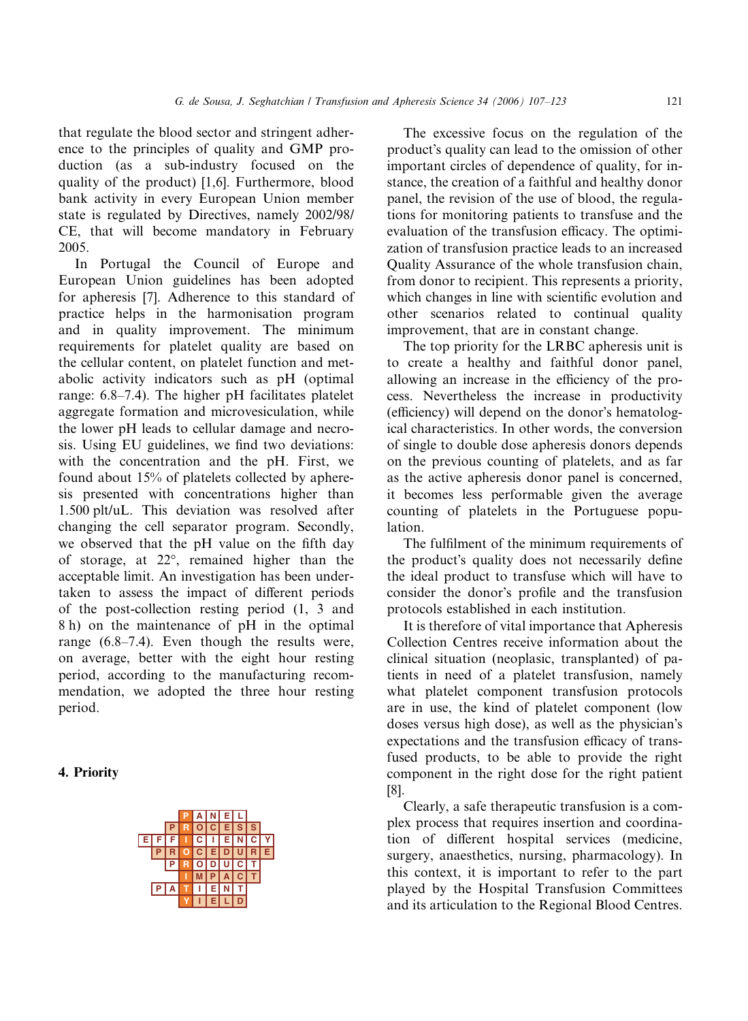that regulate the blood sector and stringent adherence to the principles of quality and GMP production (as a sub-industry focused on the quality of the product) [1,6]. Furthermore, blood bank activity in every European Union member state is regulated by Directives, namely 2002/98/ CE, that will become mandatory in February 2005.

In Portugal the Council of Europe and European Union guidelines has been adopted for apheresis [7]. Adherence to this standard of practice helps in the harmonisation program and in quality improvement. The minimum requirements for platelet quality are based on the cellular content, on platelet function and metabolic activity indicators such as pH (optimal range: 6.8–7.4). The higher pH facilitates platelet aggregate formation and microvesiculation, while the lower pH leads to cellular damage and necrosis. Using EU guidelines, we find two deviations: with the concentration and the pH. First, we found about 15% of platelets collected by apheresis presented with concentrations higher than 1.500 plt/uL. This deviation was resolved after changing the cell separator program. Secondly, we observed that the pH value on the fifth day of storage, at 22°, remained higher than the acceptable limit. An investigation has been undertaken to assess the impact of different periods of the post-collection resting period (1, 3 and 8 h) on the maintenance of pH in the optimal range (6.8–7.4). Even though the results were, on average, better with the eight hour resting period, according to the manufacturing recommendation, we adopted the three hour resting period.

# 4. Priority



The excessive focus on the regulation of the product's quality can lead to the omission of other important circles of dependence of quality, for instance, the creation of a faithful and healthy donor panel, the revision of the use of blood, the regulations for monitoring patients to transfuse and the evaluation of the transfusion efficacy. The optimization of transfusion practice leads to an increased Quality Assurance of the whole transfusion chain, from donor to recipient. This represents a priority, which changes in line with scientific evolution and other scenarios related to continual quality improvement, that are in constant change.

The top priority for the LRBC apheresis unit is to create a healthy and faithful donor panel, allowing an increase in the efficiency of the process. Nevertheless the increase in productivity (efficiency) will depend on the donor's hematological characteristics. In other words, the conversion of single to double dose apheresis donors depends on the previous counting of platelets, and as far as the active apheresis donor panel is concerned, it becomes less performable given the average counting of platelets in the Portuguese population.

The fulfilment of the minimum requirements of the product's quality does not necessarily define the ideal product to transfuse which will have to consider the donor's profile and the transfusion protocols established in each institution.

It is therefore of vital importance that Apheresis Collection Centres receive information about the clinical situation (neoplasic, transplanted) of patients in need of a platelet transfusion, namely what platelet component transfusion protocols are in use, the kind of platelet component (low doses versus high dose), as well as the physician's expectations and the transfusion efficacy of transfused products, to be able to provide the right component in the right dose for the right patient [8].

Clearly, a safe therapeutic transfusion is a complex process that requires insertion and coordination of different hospital services (medicine, surgery, anaesthetics, nursing, pharmacology). In this context, it is important to refer to the part played by the Hospital Transfusion Committees and its articulation to the Regional Blood Centres.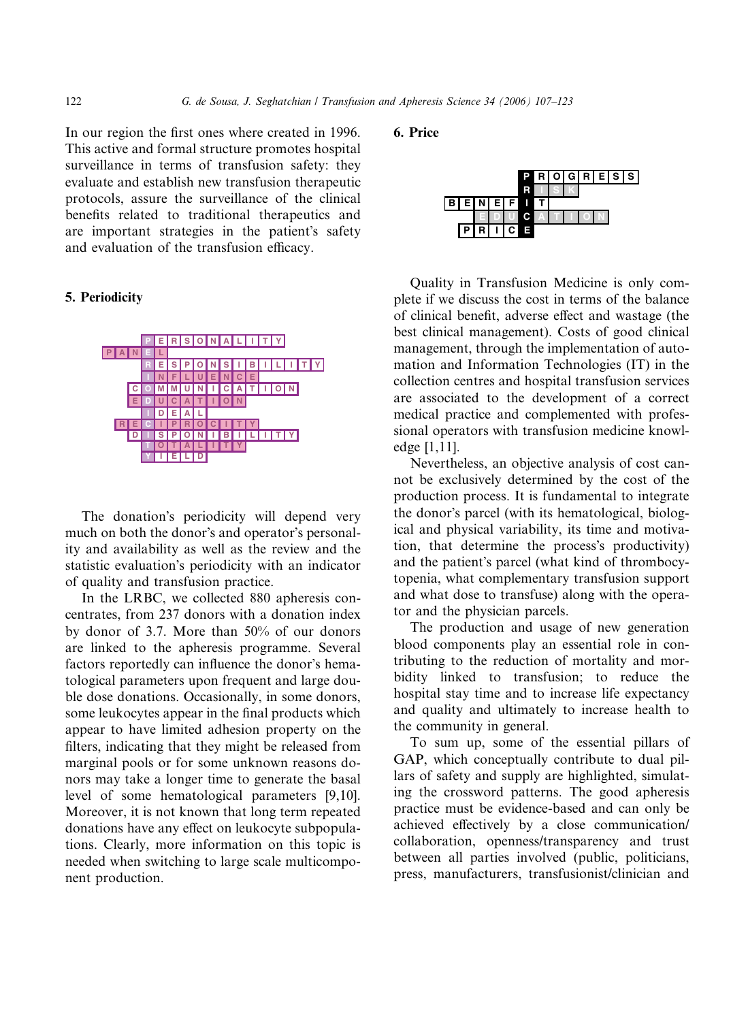In our region the first ones where created in 1996. This active and formal structure promotes hospital surveillance in terms of transfusion safety: they evaluate and establish new transfusion therapeutic protocols, assure the surveillance of the clinical benefits related to traditional therapeutics and are important strategies in the patient's safety and evaluation of the transfusion efficacy.

#### 5. Periodicity



The donation's periodicity will depend very much on both the donor's and operator's personality and availability as well as the review and the statistic evaluation's periodicity with an indicator of quality and transfusion practice.

In the LRBC, we collected 880 apheresis concentrates, from 237 donors with a donation index by donor of 3.7. More than 50% of our donors are linked to the apheresis programme. Several factors reportedly can influence the donor's hematological parameters upon frequent and large double dose donations. Occasionally, in some donors, some leukocytes appear in the final products which appear to have limited adhesion property on the filters, indicating that they might be released from marginal pools or for some unknown reasons donors may take a longer time to generate the basal level of some hematological parameters [9,10]. Moreover, it is not known that long term repeated donations have any effect on leukocyte subpopulations. Clearly, more information on this topic is needed when switching to large scale multicomponent production.

6. Price



Quality in Transfusion Medicine is only complete if we discuss the cost in terms of the balance of clinical benefit, adverse effect and wastage (the best clinical management). Costs of good clinical management, through the implementation of automation and Information Technologies (IT) in the collection centres and hospital transfusion services are associated to the development of a correct medical practice and complemented with professional operators with transfusion medicine knowledge [1,11].

Nevertheless, an objective analysis of cost cannot be exclusively determined by the cost of the production process. It is fundamental to integrate the donor's parcel (with its hematological, biological and physical variability, its time and motivation, that determine the process's productivity) and the patient's parcel (what kind of thrombocytopenia, what complementary transfusion support and what dose to transfuse) along with the operator and the physician parcels.

The production and usage of new generation blood components play an essential role in contributing to the reduction of mortality and morbidity linked to transfusion; to reduce the hospital stay time and to increase life expectancy and quality and ultimately to increase health to the community in general.

To sum up, some of the essential pillars of GAP, which conceptually contribute to dual pillars of safety and supply are highlighted, simulating the crossword patterns. The good apheresis practice must be evidence-based and can only be achieved effectively by a close communication/ collaboration, openness/transparency and trust between all parties involved (public, politicians, press, manufacturers, transfusionist/clinician and